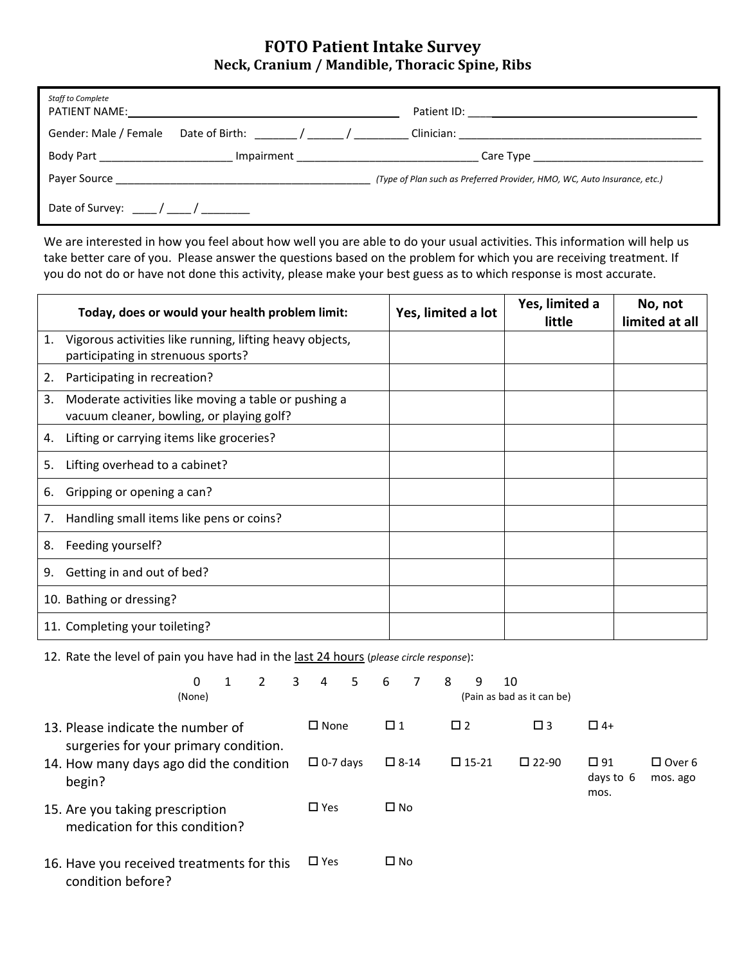## **FOTO Patient Intake Survey Neck, Cranium / Mandible, Thoracic Spine, Ribs**

| Staff to Complete<br>PATIENT NAME: |                                                                                                                                                                                                                                |                                                                          |  |
|------------------------------------|--------------------------------------------------------------------------------------------------------------------------------------------------------------------------------------------------------------------------------|--------------------------------------------------------------------------|--|
|                                    | Gender: Male / Female Date of Birth: / / /                                                                                                                                                                                     |                                                                          |  |
| Body Part 1997 - Part 1997         | Impairment Language Communication and Communication and Communication and Communication and Communication and Communication and Communication and Communication and Communication and Communication and Communication and Comm |                                                                          |  |
|                                    |                                                                                                                                                                                                                                | (Type of Plan such as Preferred Provider, HMO, WC, Auto Insurance, etc.) |  |
| Date of Survey: ( )                |                                                                                                                                                                                                                                |                                                                          |  |

We are interested in how you feel about how well you are able to do your usual activities. This information will help us take better care of you. Please answer the questions based on the problem for which you are receiving treatment. If you do not do or have not done this activity, please make your best guess as to which response is most accurate.

|    | Today, does or would your health problem limit:                                                   | Yes, limited a lot | Yes, limited a<br>little | No, not<br>limited at all |
|----|---------------------------------------------------------------------------------------------------|--------------------|--------------------------|---------------------------|
| 1. | Vigorous activities like running, lifting heavy objects,<br>participating in strenuous sports?    |                    |                          |                           |
| 2. | Participating in recreation?                                                                      |                    |                          |                           |
| 3. | Moderate activities like moving a table or pushing a<br>vacuum cleaner, bowling, or playing golf? |                    |                          |                           |
| 4. | Lifting or carrying items like groceries?                                                         |                    |                          |                           |
| 5. | Lifting overhead to a cabinet?                                                                    |                    |                          |                           |
| 6. | Gripping or opening a can?                                                                        |                    |                          |                           |
| 7. | Handling small items like pens or coins?                                                          |                    |                          |                           |
| 8. | Feeding yourself?                                                                                 |                    |                          |                           |
| 9. | Getting in and out of bed?                                                                        |                    |                          |                           |
|    | 10. Bathing or dressing?                                                                          |                    |                          |                           |
|    | 11. Completing your toileting?                                                                    |                    |                          |                           |

12. Rate the level of pain you have had in the last 24 hours (*please circle response*):

|                                                                            | 0<br>(None)                                                       |  | $\mathcal{P}$   | $\overline{\mathbf{3}}$ | $\overline{4}$                    | 5            | 6            | 7 | 8               | 9                              | 10                        | (Pain as bad as it can be) |           |  |
|----------------------------------------------------------------------------|-------------------------------------------------------------------|--|-----------------|-------------------------|-----------------------------------|--------------|--------------|---|-----------------|--------------------------------|---------------------------|----------------------------|-----------|--|
| 13. Please indicate the number of<br>surgeries for your primary condition. |                                                                   |  |                 |                         | $\square$ None                    |              | $\Box$ 1     |   | $\Box$ 2        |                                |                           | $\square$ 3                | $\Box$ 4+ |  |
| 14. How many days ago did the condition<br>begin?                          |                                                                   |  | $\Box$ 0-7 days |                         | $\square$ 15-21<br>$\square$ 8-14 |              |              |   | $\square$ 22-90 | $\Box$ 91<br>days to 6<br>mos. | $\Box$ Over 6<br>mos. ago |                            |           |  |
|                                                                            | 15. Are you taking prescription<br>medication for this condition? |  |                 | $\square$ Yes           |                                   | $\square$ No |              |   |                 |                                |                           |                            |           |  |
| 16. Have you received treatments for this<br>condition before?             |                                                                   |  |                 |                         | $\square$ Yes                     |              | $\square$ No |   |                 |                                |                           |                            |           |  |